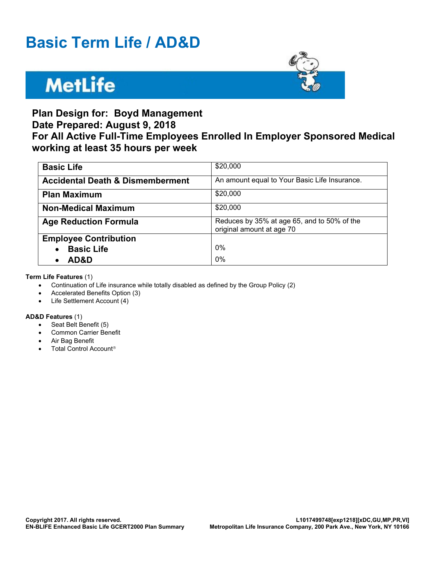# **Basic Term Life / AD&D**

# **MetLife**



## **Plan Design for: Boyd Management Date Prepared: August 9, 2018 For All Active Full-Time Employees Enrolled In Employer Sponsored Medical working at least 35 hours per week**

| <b>Basic Life</b>                           | \$20,000                                                                 |
|---------------------------------------------|--------------------------------------------------------------------------|
| <b>Accidental Death &amp; Dismemberment</b> | An amount equal to Your Basic Life Insurance.                            |
| <b>Plan Maximum</b>                         | \$20,000                                                                 |
| <b>Non-Medical Maximum</b>                  | \$20,000                                                                 |
| <b>Age Reduction Formula</b>                | Reduces by 35% at age 65, and to 50% of the<br>original amount at age 70 |
| <b>Employee Contribution</b>                |                                                                          |
| <b>Basic Life</b>                           | 0%                                                                       |
| AD&D                                        | 0%                                                                       |

**Term Life Features** (1)

- · Continuation of Life insurance while totally disabled as defined by the Group Policy (2)
- · Accelerated Benefits Option (3)
- · Life Settlement Account (4)

#### **AD&D Features** (1)

- · Seat Belt Benefit (5)
- Common Carrier Benefit
- Air Bag Benefit
- Total Control Account<sup>®</sup>